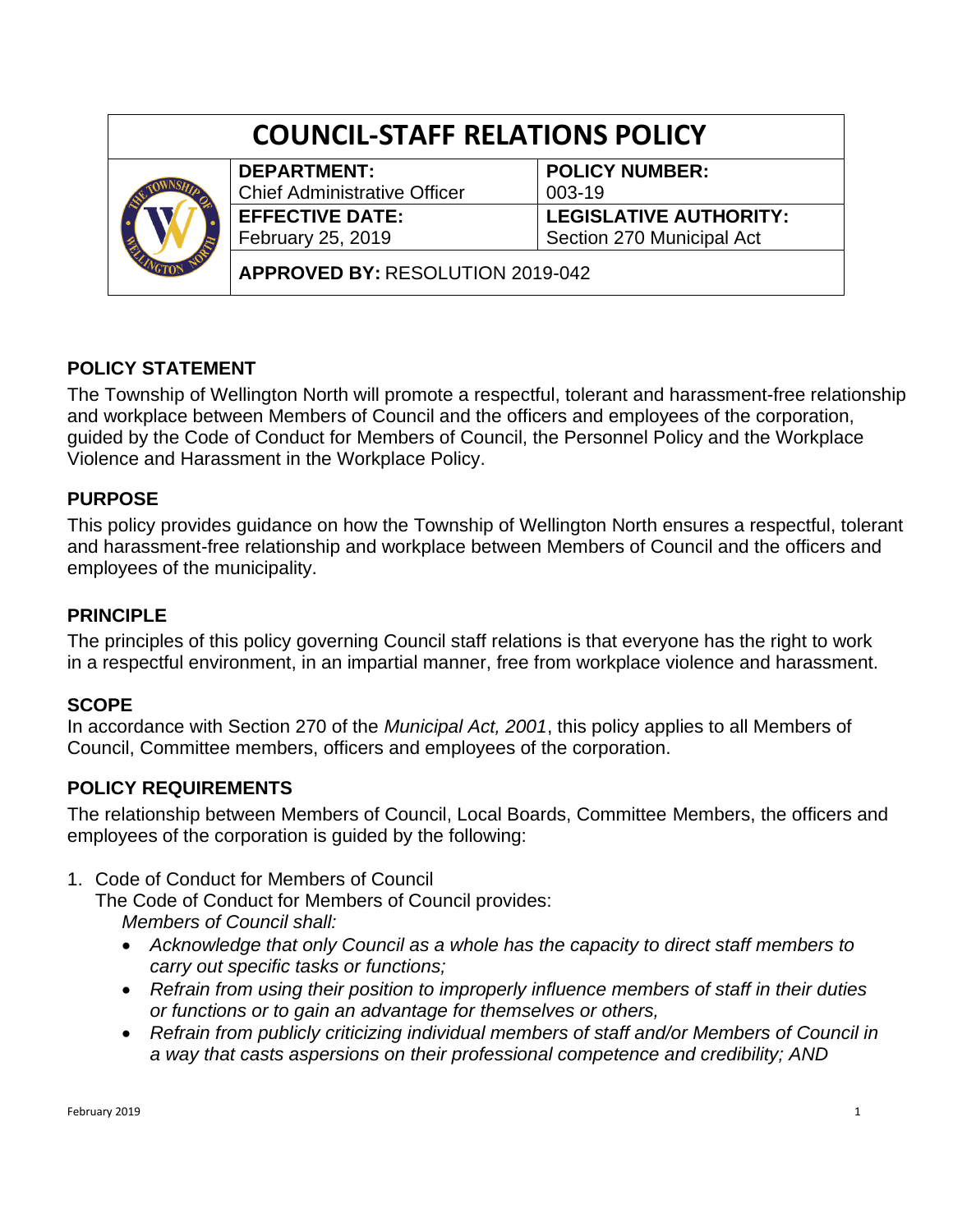| <b>COUNCIL-STAFF RELATIONS POLICY</b> |                    |                                |  |
|---------------------------------------|--------------------|--------------------------------|--|
|                                       | <b>DEDADTMENT.</b> | $\overline{a}$ DOLLOV MURADED. |  |



**DEPARTMENT:** Chief Administrative Officer **EFFECTIVE DATE:** February 25, 2019

**POLICY NUMBER:** 003-19 **LEGISLATIVE AUTHORITY:** Section 270 Municipal Act

**APPROVED BY:** RESOLUTION 2019-042

# **POLICY STATEMENT**

The Township of Wellington North will promote a respectful, tolerant and harassment-free relationship and workplace between Members of Council and the officers and employees of the corporation, guided by the Code of Conduct for Members of Council, the Personnel Policy and the Workplace Violence and Harassment in the Workplace Policy.

## **PURPOSE**

This policy provides guidance on how the Township of Wellington North ensures a respectful, tolerant and harassment-free relationship and workplace between Members of Council and the officers and employees of the municipality.

# **PRINCIPLE**

The principles of this policy governing Council staff relations is that everyone has the right to work in a respectful environment, in an impartial manner, free from workplace violence and harassment.

## **SCOPE**

In accordance with Section 270 of the *Municipal Act, 2001*, this policy applies to all Members of Council, Committee members, officers and employees of the corporation.

## **POLICY REQUIREMENTS**

The relationship between Members of Council, Local Boards, Committee Members, the officers and employees of the corporation is guided by the following:

1. Code of Conduct for Members of Council

The Code of Conduct for Members of Council provides: *Members of Council shall:*

- *Acknowledge that only Council as a whole has the capacity to direct staff members to carry out specific tasks or functions;*
- *Refrain from using their position to improperly influence members of staff in their duties or functions or to gain an advantage for themselves or others,*
- *Refrain from publicly criticizing individual members of staff and/or Members of Council in a way that casts aspersions on their professional competence and credibility; AND*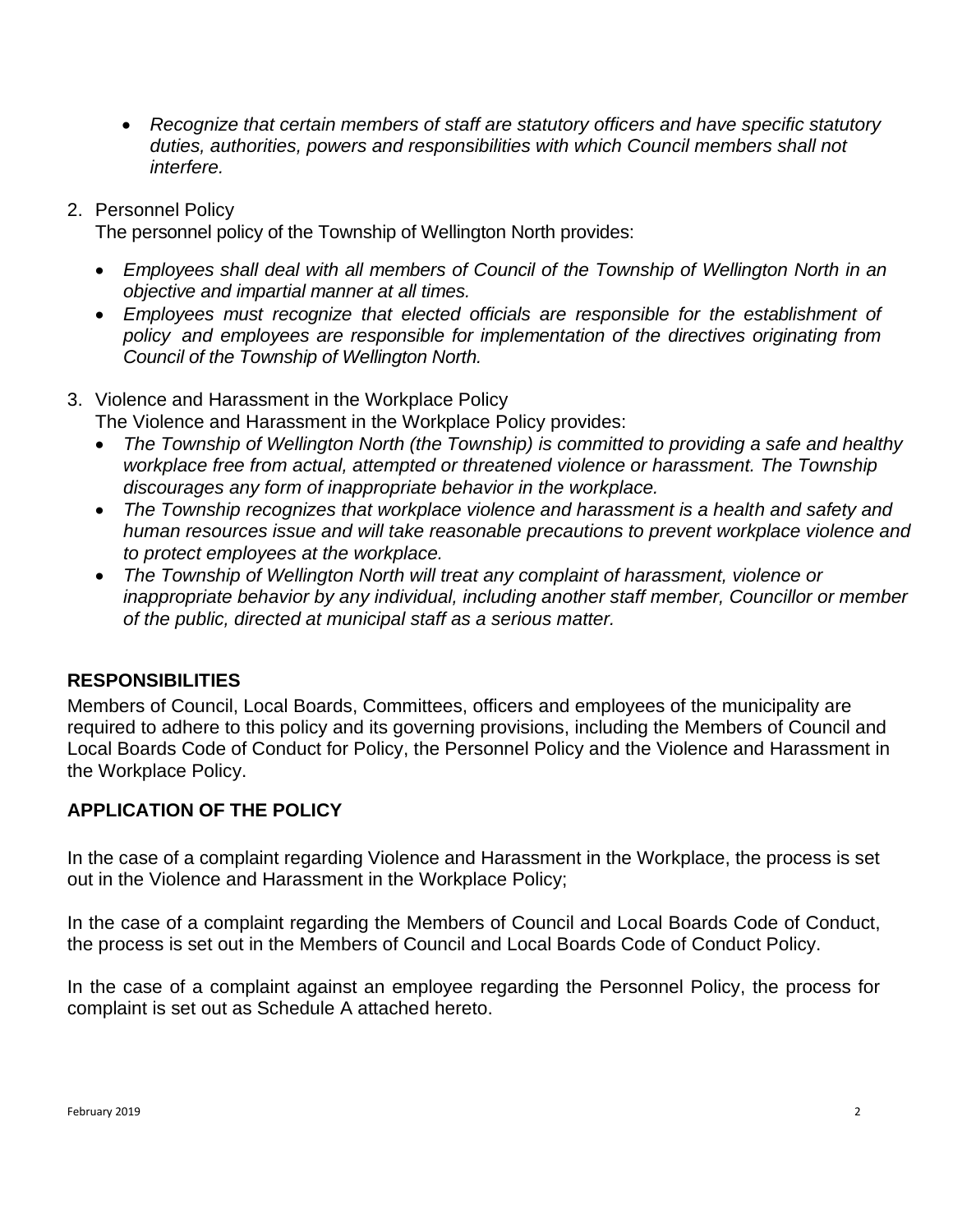- *Recognize that certain members of staff are statutory officers and have specific statutory duties, authorities, powers and responsibilities with which Council members shall not interfere.*
- 2. Personnel Policy

The personnel policy of the Township of Wellington North provides:

- *Employees shall deal with all members of Council of the Township of Wellington North in an objective and impartial manner at all times.*
- *Employees must recognize that elected officials are responsible for the establishment of policy and employees are responsible for implementation of the directives originating from Council of the Township of Wellington North.*

### 3. Violence and Harassment in the Workplace Policy

The Violence and Harassment in the Workplace Policy provides:

- *The Township of Wellington North (the Township) is committed to providing a safe and healthy workplace free from actual, attempted or threatened violence or harassment. The Township discourages any form of inappropriate behavior in the workplace.*
- *The Township recognizes that workplace violence and harassment is a health and safety and human resources issue and will take reasonable precautions to prevent workplace violence and to protect employees at the workplace.*
- *The Township of Wellington North will treat any complaint of harassment, violence or inappropriate behavior by any individual, including another staff member, Councillor or member of the public, directed at municipal staff as a serious matter.*

## **RESPONSIBILITIES**

Members of Council, Local Boards, Committees, officers and employees of the municipality are required to adhere to this policy and its governing provisions, including the Members of Council and Local Boards Code of Conduct for Policy, the Personnel Policy and the Violence and Harassment in the Workplace Policy.

## **APPLICATION OF THE POLICY**

In the case of a complaint regarding Violence and Harassment in the Workplace, the process is set out in the Violence and Harassment in the Workplace Policy;

In the case of a complaint regarding the Members of Council and Local Boards Code of Conduct, the process is set out in the Members of Council and Local Boards Code of Conduct Policy.

In the case of a complaint against an employee regarding the Personnel Policy, the process for complaint is set out as Schedule A attached hereto.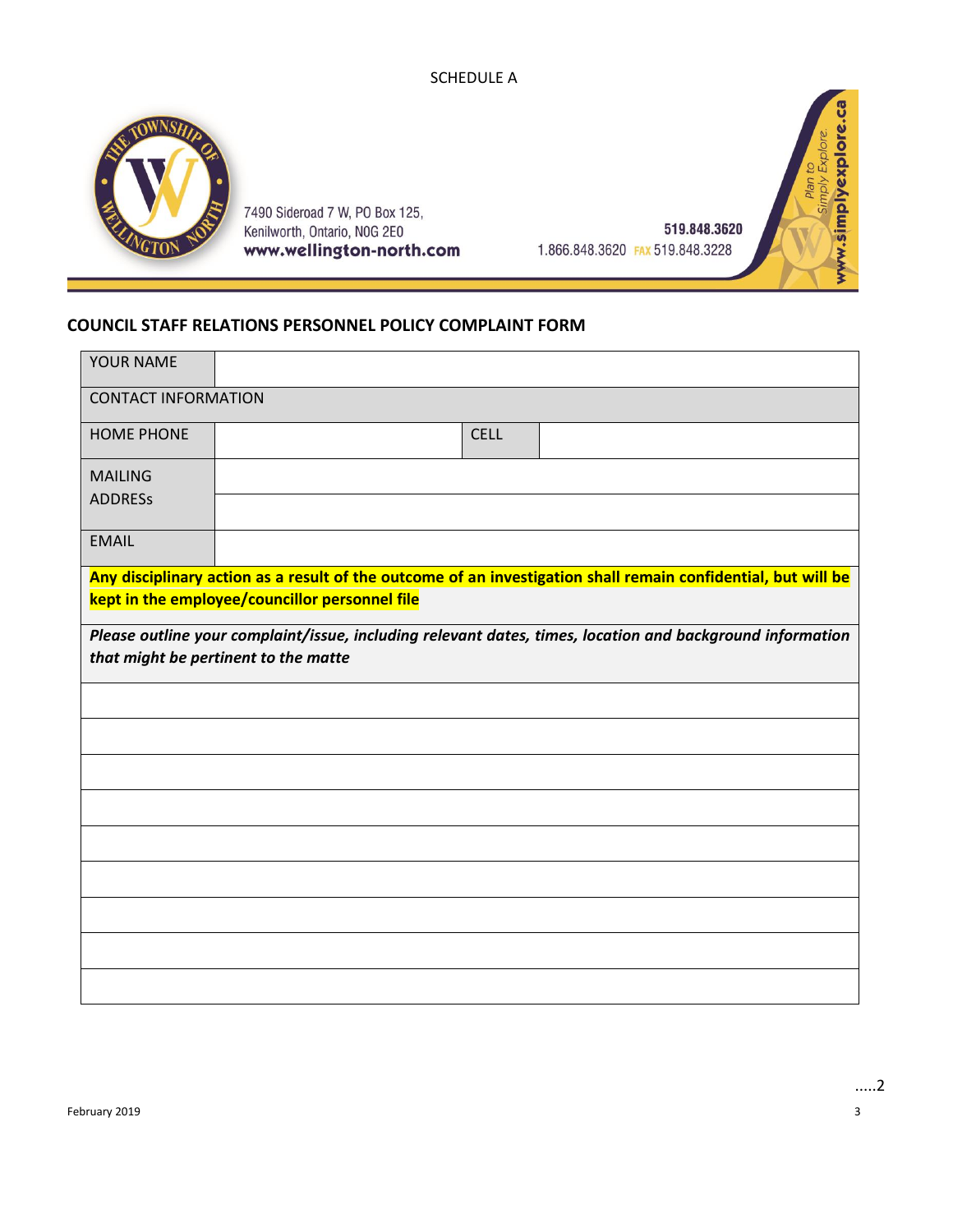#### SCHEDULE A



7490 Sideroad 7 W, PO Box 125, Kenilworth, Ontario, NOG 2E0 www.wellington-north.com

519.848.3620 1.866.848.3620 FAX 519.848.3228

www.simplyexplore.ca Plan to<br>Simply Explore.

### **COUNCIL STAFF RELATIONS PERSONNEL POLICY COMPLAINT FORM**

| YOUR NAME                                                                                                                                                       |  |  |             |  |  |  |  |  |  |
|-----------------------------------------------------------------------------------------------------------------------------------------------------------------|--|--|-------------|--|--|--|--|--|--|
| <b>CONTACT INFORMATION</b>                                                                                                                                      |  |  |             |  |  |  |  |  |  |
| <b>HOME PHONE</b>                                                                                                                                               |  |  | <b>CELL</b> |  |  |  |  |  |  |
| <b>MAILING</b>                                                                                                                                                  |  |  |             |  |  |  |  |  |  |
| <b>ADDRESS</b>                                                                                                                                                  |  |  |             |  |  |  |  |  |  |
| <b>EMAIL</b>                                                                                                                                                    |  |  |             |  |  |  |  |  |  |
| Any disciplinary action as a result of the outcome of an investigation shall remain confidential, but will be<br>kept in the employee/councillor personnel file |  |  |             |  |  |  |  |  |  |
| Please outline your complaint/issue, including relevant dates, times, location and background information<br>that might be pertinent to the matte               |  |  |             |  |  |  |  |  |  |
|                                                                                                                                                                 |  |  |             |  |  |  |  |  |  |
|                                                                                                                                                                 |  |  |             |  |  |  |  |  |  |
|                                                                                                                                                                 |  |  |             |  |  |  |  |  |  |
|                                                                                                                                                                 |  |  |             |  |  |  |  |  |  |
|                                                                                                                                                                 |  |  |             |  |  |  |  |  |  |
|                                                                                                                                                                 |  |  |             |  |  |  |  |  |  |
|                                                                                                                                                                 |  |  |             |  |  |  |  |  |  |
|                                                                                                                                                                 |  |  |             |  |  |  |  |  |  |
|                                                                                                                                                                 |  |  |             |  |  |  |  |  |  |